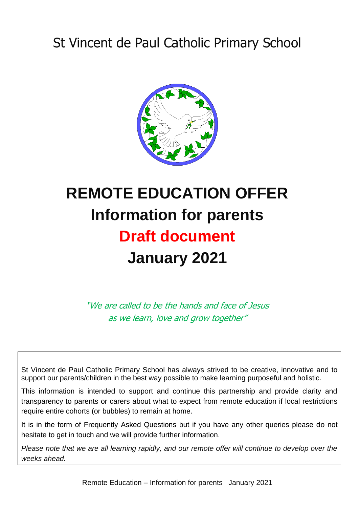## St Vincent de Paul Catholic Primary School



# **REMOTE EDUCATION OFFER Information for parents Draft document January 2021**

"We are called to be the hands and face of Jesus as we learn, love and grow together"

St Vincent de Paul Catholic Primary School has always strived to be creative, innovative and to support our parents/children in the best way possible to make learning purposeful and holistic.

This information is intended to support and continue this partnership and provide clarity and transparency to parents or carers about what to expect from remote education if local restrictions require entire cohorts (or bubbles) to remain at home.

It is in the form of Frequently Asked Questions but if you have any other queries please do not hesitate to get in touch and we will provide further information.

*Please note that we are all learning rapidly, and our remote offer will continue to develop over the weeks ahead.*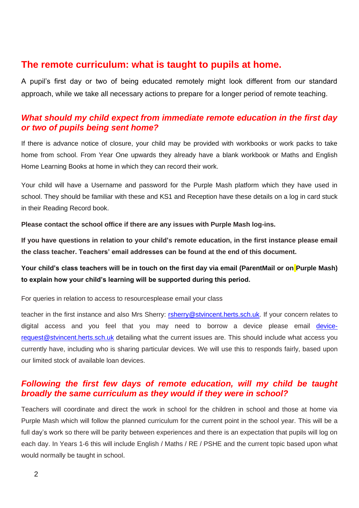## **The remote curriculum: what is taught to pupils at home.**

A pupil's first day or two of being educated remotely might look different from our standard approach, while we take all necessary actions to prepare for a longer period of remote teaching.

## *What should my child expect from immediate remote education in the first day or two of pupils being sent home?*

If there is advance notice of closure, your child may be provided with workbooks or work packs to take home from school. From Year One upwards they already have a blank workbook or Maths and English Home Learning Books at home in which they can record their work.

Your child will have a Username and password for the Purple Mash platform which they have used in school. They should be familiar with these and KS1 and Reception have these details on a log in card stuck in their Reading Record book.

**Please contact the school office if there are any issues with Purple Mash log-ins.** 

**If you have questions in relation to your child's remote education, in the first instance please email the class teacher. Teachers' email addresses can be found at the end of this document.** 

**Your child's class teachers will be in touch on the first day via email (ParentMail or on Purple Mash) to explain how your child's learning will be supported during this period.**

For queries in relation to access to resourcesplease email your class

teacher in the first instance and also Mrs Sherry: [rsherry@stvincent.herts.sch.uk.](mailto:rsherry@stvincent.herts.sch.uk) If your concern relates to digital access and you feel that you may need to borrow a device please email [device](mailto:devicerequest@stvincent.herts.sch.uk)[request@stvincent.herts.sch.uk](mailto:devicerequest@stvincent.herts.sch.uk) detailing what the current issues are. This should include what access you currently have, including who is sharing particular devices. We will use this to responds fairly, based upon our limited stock of available loan devices.

## *Following the first few days of remote education, will my child be taught broadly the same curriculum as they would if they were in school?*

Teachers will coordinate and direct the work in school for the children in school and those at home via Purple Mash which will follow the planned curriculum for the current point in the school year. This will be a full day's work so there will be parity between experiences and there is an expectation that pupils will log on each day. In Years 1-6 this will include English / Maths / RE / PSHE and the current topic based upon what would normally be taught in school.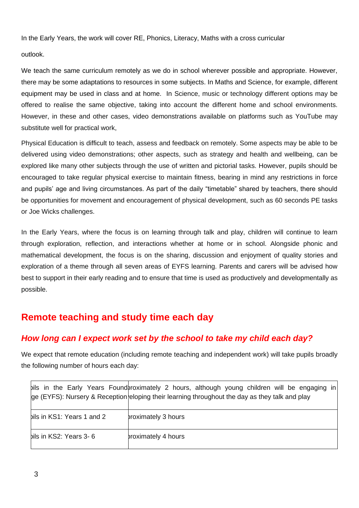In the Early Years, the work will cover RE, Phonics, Literacy, Maths with a cross curricular

outlook.

We teach the same curriculum remotely as we do in school wherever possible and appropriate. However, there may be some adaptations to resources in some subjects. In Maths and Science, for example, different equipment may be used in class and at home. In Science, music or technology different options may be offered to realise the same objective, taking into account the different home and school environments. However, in these and other cases, video demonstrations available on platforms such as YouTube may substitute well for practical work,

Physical Education is difficult to teach, assess and feedback on remotely. Some aspects may be able to be delivered using video demonstrations; other aspects, such as strategy and health and wellbeing, can be explored like many other subjects through the use of written and pictorial tasks. However, pupils should be encouraged to take regular physical exercise to maintain fitness, bearing in mind any restrictions in force and pupils' age and living circumstances. As part of the daily "timetable" shared by teachers, there should be opportunities for movement and encouragement of physical development, such as 60 seconds PE tasks or Joe Wicks challenges.

In the Early Years, where the focus is on learning through talk and play, children will continue to learn through exploration, reflection, and interactions whether at home or in school. Alongside phonic and mathematical development, the focus is on the sharing, discussion and enjoyment of quality stories and exploration of a theme through all seven areas of EYFS learning. Parents and carers will be advised how best to support in their early reading and to ensure that time is used as productively and developmentally as possible.

## **Remote teaching and study time each day**

## *How long can I expect work set by the school to take my child each day?*

We expect that remote education (including remote teaching and independent work) will take pupils broadly the following number of hours each day:

|                            | bils in the Early Years Foundbroximately 2 hours, although young children will be engaging<br>in.<br>ge (EYFS): Nursery & Reception eloping their learning throughout the day as they talk and play |
|----------------------------|-----------------------------------------------------------------------------------------------------------------------------------------------------------------------------------------------------|
| bils in KS1: Years 1 and 2 | proximately 3 hours                                                                                                                                                                                 |
| bils in KS2: Years 3-6     | proximately 4 hours                                                                                                                                                                                 |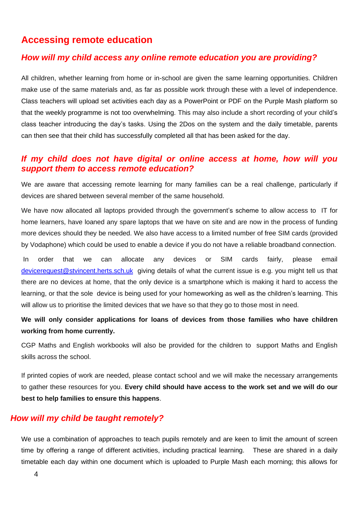## **Accessing remote education**

#### *How will my child access any online remote education you are providing?*

All children, whether learning from home or in-school are given the same learning opportunities. Children make use of the same materials and, as far as possible work through these with a level of independence. Class teachers will upload set activities each day as a PowerPoint or PDF on the Purple Mash platform so that the weekly programme is not too overwhelming. This may also include a short recording of your child's class teacher introducing the day's tasks. Using the 2Dos on the system and the daily timetable, parents can then see that their child has successfully completed all that has been asked for the day.

#### *If my child does not have digital or online access at home, how will you support them to access remote education?*

We are aware that accessing remote learning for many families can be a real challenge, particularly if devices are shared between several member of the same household.

We have now allocated all laptops provided through the government's scheme to allow access to IT for home learners, have loaned any spare laptops that we have on site and are now in the process of funding more devices should they be needed. We also have access to a limited number of free SIM cards (provided by Vodaphone) which could be used to enable a device if you do not have a reliable broadband connection.

In order that we can allocate any devices or SIM cards fairly, please email [devicerequest@stvincent.herts.sch.uk](mailto:devicerequest@stvincent.herts.sch.uk) giving details of what the current issue is e.g. you might tell us that there are no devices at home, that the only device is a smartphone which is making it hard to access the learning, or that the sole device is being used for your homeworking as well as the children's learning. This will allow us to prioritise the limited devices that we have so that they go to those most in need.

### **We will only consider applications for loans of devices from those families who have children working from home currently.**

CGP Maths and English workbooks will also be provided for the children to support Maths and English skills across the school.

If printed copies of work are needed, please contact school and we will make the necessary arrangements to gather these resources for you. **Every child should have access to the work set and we will do our best to help families to ensure this happens**.

#### *How will my child be taught remotely?*

We use a combination of approaches to teach pupils remotely and are keen to limit the amount of screen time by offering a range of different activities, including practical learning. These are shared in a daily timetable each day within one document which is uploaded to Purple Mash each morning; this allows for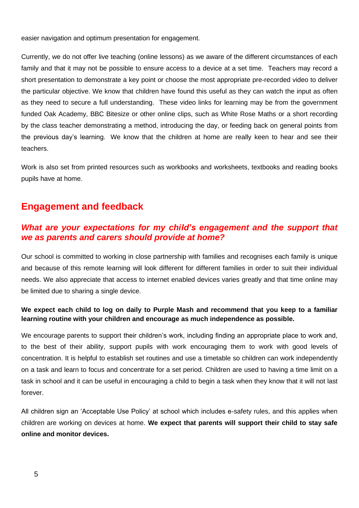easier navigation and optimum presentation for engagement.

Currently, we do not offer live teaching (online lessons) as we aware of the different circumstances of each family and that it may not be possible to ensure access to a device at a set time. Teachers may record a short presentation to demonstrate a key point or choose the most appropriate pre-recorded video to deliver the particular objective. We know that children have found this useful as they can watch the input as often as they need to secure a full understanding. These video links for learning may be from the government funded Oak Academy, BBC Bitesize or other online clips, such as White Rose Maths or a short recording by the class teacher demonstrating a method, introducing the day, or feeding back on general points from the previous day's learning. We know that the children at home are really keen to hear and see their teachers.

Work is also set from printed resources such as workbooks and worksheets, textbooks and reading books pupils have at home.

## **Engagement and feedback**

## *What are your expectations for my child's engagement and the support that we as parents and carers should provide at home?*

Our school is committed to working in close partnership with families and recognises each family is unique and because of this remote learning will look different for different families in order to suit their individual needs. We also appreciate that access to internet enabled devices varies greatly and that time online may be limited due to sharing a single device.

#### **We expect each child to log on daily to Purple Mash and recommend that you keep to a familiar learning routine with your children and encourage as much independence as possible.**

We encourage parents to support their children's work, including finding an appropriate place to work and, to the best of their ability, support pupils with work encouraging them to work with good levels of concentration. It is helpful to establish set routines and use a timetable so children can work independently on a task and learn to focus and concentrate for a set period. Children are used to having a time limit on a task in school and it can be useful in encouraging a child to begin a task when they know that it will not last forever.

All children sign an 'Acceptable Use Policy' at school which includes e-safety rules, and this applies when children are working on devices at home. **We expect that parents will support their child to stay safe online and monitor devices.**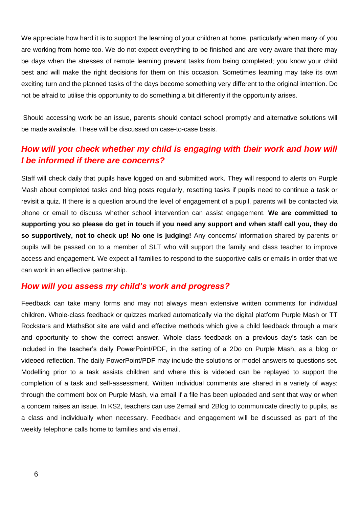We appreciate how hard it is to support the learning of your children at home, particularly when many of you are working from home too. We do not expect everything to be finished and are very aware that there may be days when the stresses of remote learning prevent tasks from being completed; you know your child best and will make the right decisions for them on this occasion. Sometimes learning may take its own exciting turn and the planned tasks of the days become something very different to the original intention. Do not be afraid to utilise this opportunity to do something a bit differently if the opportunity arises.

Should accessing work be an issue, parents should contact school promptly and alternative solutions will be made available. These will be discussed on case-to-case basis.

## *How will you check whether my child is engaging with their work and how will I be informed if there are concerns?*

Staff will check daily that pupils have logged on and submitted work. They will respond to alerts on Purple Mash about completed tasks and blog posts regularly, resetting tasks if pupils need to continue a task or revisit a quiz. If there is a question around the level of engagement of a pupil, parents will be contacted via phone or email to discuss whether school intervention can assist engagement. **We are committed to supporting you so please do get in touch if you need any support and when staff call you, they do so supportively, not to check up! No one is judging!** Any concerns/ information shared by parents or pupils will be passed on to a member of SLT who will support the family and class teacher to improve access and engagement. We expect all families to respond to the supportive calls or emails in order that we can work in an effective partnership.

#### *How will you assess my child's work and progress?*

Feedback can take many forms and may not always mean extensive written comments for individual children. Whole-class feedback or quizzes marked automatically via the digital platform Purple Mash or TT Rockstars and MathsBot site are valid and effective methods which give a child feedback through a mark and opportunity to show the correct answer. Whole class feedback on a previous day's task can be included in the teacher's daily PowerPoint/PDF, in the setting of a 2Do on Purple Mash, as a blog or videoed reflection. The daily PowerPoint/PDF may include the solutions or model answers to questions set. Modelling prior to a task assists children and where this is videoed can be replayed to support the completion of a task and self-assessment. Written individual comments are shared in a variety of ways: through the comment box on Purple Mash, via email if a file has been uploaded and sent that way or when a concern raises an issue. In KS2, teachers can use 2email and 2Blog to communicate directly to pupils, as a class and individually when necessary. Feedback and engagement will be discussed as part of the weekly telephone calls home to families and via email.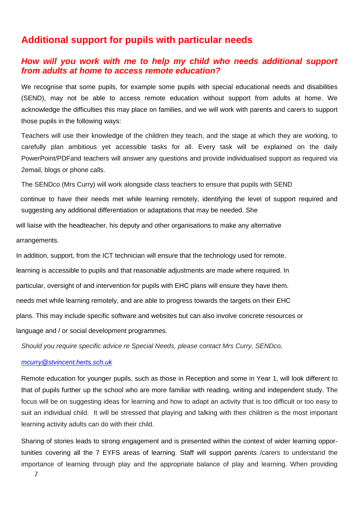## **Additional support for pupils with particular needs**

#### *How will you work with me to help my child who needs additional support from adults at home to access remote education?*

We recognise that some pupils, for example some pupils with special educational needs and disabilities (SEND), may not be able to access remote education without support from adults at home. We acknowledge the difficulties this may place on families, and we will work with parents and carers to support those pupils in the following ways:

Teachers will use their knowledge of the children they teach, and the stage at which they are working, to carefully plan ambitious yet accessible tasks for all. Every task will be explained on the daily PowerPoint/PDFand teachers will answer any questions and provide individualised support as required via 2email, blogs or phone calls.

The SENDco (Mrs Curry) will work alongside class teachers to ensure that pupils with SEND

continue to have their needs met while learning remotely, identifying the level of support required and suggesting any additional differentiation or adaptations that may be needed. She

will liaise with the headteacher, his deputy and other organisations to make any alternative arrangements.

In addition, support, from the ICT technician will ensure that the technology used for remote. learning is accessible to pupils and that reasonable adjustments are made where required. In particular, oversight of and intervention for pupils with EHC plans will ensure they have them. needs met while learning remotely, and are able to progress towards the targets on their EHC plans. This may include specific software and websites but can also involve concrete resources or language and / or social development programmes.

*Should you require specific advice re Special Needs, please contact Mrs Curry, SENDco,* 

#### *[mcurry@stvincent.herts.sch.uk](mailto:mcurry@stvincent.herts.sch.uk)*

Remote education for younger pupils, such as those in Reception and some in Year 1, will look different to that of pupils further up the school who are more familiar with reading, writing and independent study. The focus will be on suggesting ideas for learning and how to adapt an activity that is too difficult or too easy to suit an individual child. It will be stressed that playing and talking with their children is the most important learning activity adults can do with their child.

Sharing of stories leads to strong engagement and is presented within the context of wider learning opportunities covering all the 7 EYFS areas of learning. Staff will support parents /carers to understand the importance of learning through play and the appropriate balance of play and learning. When providing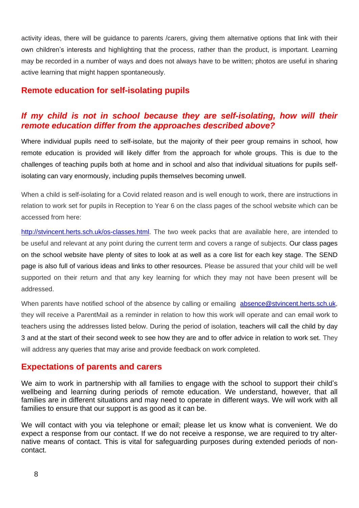activity ideas, there will be guidance to parents /carers, giving them alternative options that link with their own children's interests and highlighting that the process, rather than the product, is important. Learning may be recorded in a number of ways and does not always have to be written; photos are useful in sharing active learning that might happen spontaneously.

## **Remote education for self-isolating pupils**

## *If my child is not in school because they are self-isolating, how will their remote education differ from the approaches described above?*

Where individual pupils need to self-isolate, but the majority of their peer group remains in school, how remote education is provided will likely differ from the approach for whole groups. This is due to the challenges of teaching pupils both at home and in school and also that individual situations for pupils selfisolating can vary enormously, including pupils themselves becoming unwell.

When a child is self-isolating for a Covid related reason and is well enough to work, there are instructions in relation to work set for pupils in Reception to Year 6 on the class pages of the school website which can be accessed from here:

[http://stvincent.herts.sch.uk/os-classes.html.](http://stvincent.herts.sch.uk/os-classes.html) The two week packs that are available here, are intended to be useful and relevant at any point during the current term and covers a range of subjects. Our class pages on the school website have plenty of sites to look at as well as a core list for each key stage. The SEND page is also full of various ideas and links to other resources. Please be assured that your child will be well supported on their return and that any key learning for which they may not have been present will be addressed.

When parents have notified school of the absence by calling or emailing [absence@stvincent.herts.sch.uk,](mailto:absence@stvincent.herts.sch.uk) they will receive a ParentMail as a reminder in relation to how this work will operate and can email work to teachers using the addresses listed below. During the period of isolation, teachers will call the child by day 3 and at the start of their second week to see how they are and to offer advice in relation to work set. They will address any queries that may arise and provide feedback on work completed.

### **Expectations of parents and carers**

We aim to work in partnership with all families to engage with the school to support their child's wellbeing and learning during periods of remote education. We understand, however, that all families are in different situations and may need to operate in different ways. We will work with all families to ensure that our support is as good as it can be.

We will contact with you via telephone or email; please let us know what is convenient. We do expect a response from our contact. If we do not receive a response, we are required to try alternative means of contact. This is vital for safeguarding purposes during extended periods of noncontact.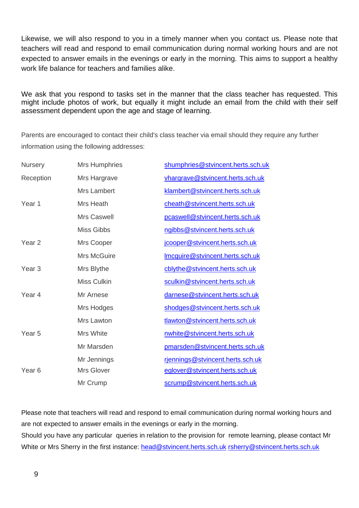Likewise, we will also respond to you in a timely manner when you contact us. Please note that teachers will read and respond to email communication during normal working hours and are not expected to answer emails in the evenings or early in the morning. This aims to support a healthy work life balance for teachers and families alike.

We ask that you respond to tasks set in the manner that the class teacher has requested. This might include photos of work, but equally it might include an email from the child with their self assessment dependent upon the age and stage of learning.

Parents are encouraged to contact their child's class teacher via email should they require any further information using the following addresses:

| <b>Nursery</b>    | <b>Mrs Humphries</b> | shumphries@stvincent.herts.sch.uk |
|-------------------|----------------------|-----------------------------------|
| Reception         | Mrs Hargrave         | vhargrave@stvincent.herts.sch.uk  |
|                   | <b>Mrs Lambert</b>   | klambert@stvincent.herts.sch.uk   |
| Year 1            | Mrs Heath            | cheath@stvincent.herts.sch.uk     |
|                   | Mrs Caswell          | pcaswell@stvincent.herts.sch.uk   |
|                   | <b>Miss Gibbs</b>    | ngibbs@stvincent.herts.sch.uk     |
| Year <sub>2</sub> | Mrs Cooper           | jcooper@stvincent.herts.sch.uk    |
|                   | <b>Mrs McGuire</b>   | Imcguire@stvincent.herts.sch.uk   |
| Year <sub>3</sub> | Mrs Blythe           | cblythe@stvincent.herts.sch.uk    |
|                   | <b>Miss Culkin</b>   | sculkin@stvincent.herts.sch.uk    |
| Year 4            | Mr Arnese            | darnese@stvincent.herts.sch.uk    |
|                   | Mrs Hodges           | shodges@stvincent.herts.sch.uk    |
|                   | Mrs Lawton           | tlawton@stvincent.herts.sch.uk    |
| Year <sub>5</sub> | Mrs White            | nwhite@stvincent.herts.sch.uk     |
|                   | Mr Marsden           | pmarsden@stvincent.herts.sch.uk   |
|                   | Mr Jennings          | rjennings@stvincent.herts.sch.uk  |
| Year <sub>6</sub> | Mrs Glover           | eglover@stvincent.herts.sch.uk    |
|                   | Mr Crump             | scrump@stvincent.herts.sch.uk     |

Please note that teachers will read and respond to email communication during normal working hours and are not expected to answer emails in the evenings or early in the morning.

Should you have any particular queries in relation to the provision for remote learning, please contact Mr White or Mrs Sherry in the first instance: [head@stvincent.herts.sch.uk](mailto:head@stvincent.herts.sch.uk) [rsherry@stvincent.herts.sch.uk](mailto:rsherry@stvincent.herts.sch.uk)